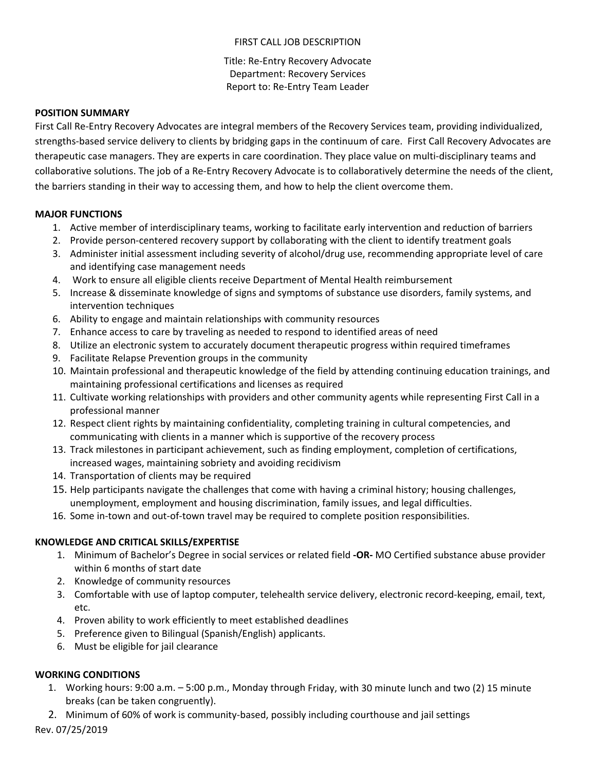## FIRST CALL JOB DESCRIPTION

Title: Re‐Entry Recovery Advocate Department: Recovery Services Report to: Re‐Entry Team Leader

#### **POSITION SUMMARY**

First Call Re‐Entry Recovery Advocates are integral members of the Recovery Services team, providing individualized, strengths‐based service delivery to clients by bridging gaps in the continuum of care. First Call Recovery Advocates are therapeutic case managers. They are experts in care coordination. They place value on multi‐disciplinary teams and collaborative solutions. The job of a Re‐Entry Recovery Advocate is to collaboratively determine the needs of the client, the barriers standing in their way to accessing them, and how to help the client overcome them.

### **MAJOR FUNCTIONS**

- 1. Active member of interdisciplinary teams, working to facilitate early intervention and reduction of barriers
- 2. Provide person-centered recovery support by collaborating with the client to identify treatment goals
- 3. Administer initial assessment including severity of alcohol/drug use, recommending appropriate level of care and identifying case management needs
- 4. Work to ensure all eligible clients receive Department of Mental Health reimbursement
- 5. Increase & disseminate knowledge of signs and symptoms of substance use disorders, family systems, and intervention techniques
- 6. Ability to engage and maintain relationships with community resources
- 7. Enhance access to care by traveling as needed to respond to identified areas of need
- 8. Utilize an electronic system to accurately document therapeutic progress within required timeframes
- 9. Facilitate Relapse Prevention groups in the community
- 10. Maintain professional and therapeutic knowledge of the field by attending continuing education trainings, and maintaining professional certifications and licenses as required
- 11. Cultivate working relationships with providers and other community agents while representing First Call in a professional manner
- 12. Respect client rights by maintaining confidentiality, completing training in cultural competencies, and communicating with clients in a manner which is supportive of the recovery process
- 13. Track milestones in participant achievement, such as finding employment, completion of certifications, increased wages, maintaining sobriety and avoiding recidivism
- 14. Transportation of clients may be required
- 15. Help participants navigate the challenges that come with having a criminal history; housing challenges, unemployment, employment and housing discrimination, family issues, and legal difficulties.
- 16. Some in-town and out-of-town travel may be required to complete position responsibilities.

### **KNOWLEDGE AND CRITICAL SKILLS/EXPERTISE**

- 1. Minimum of Bachelor's Degree in social services or related field **‐OR‐** MO Certified substance abuse provider within 6 months of start date
- 2. Knowledge of community resources
- 3. Comfortable with use of laptop computer, telehealth service delivery, electronic record-keeping, email, text, etc.
- 4. Proven ability to work efficiently to meet established deadlines
- 5. Preference given to Bilingual (Spanish/English) applicants.
- 6. Must be eligible for jail clearance

# **WORKING CONDITIONS**

- 1. Working hours: 9:00 a.m. 5:00 p.m., Monday through Friday, with 30 minute lunch and two (2) 15 minute breaks (can be taken congruently).
- 2. Minimum of 60% of work is community-based, possibly including courthouse and jail settings

Rev. 07/25/2019